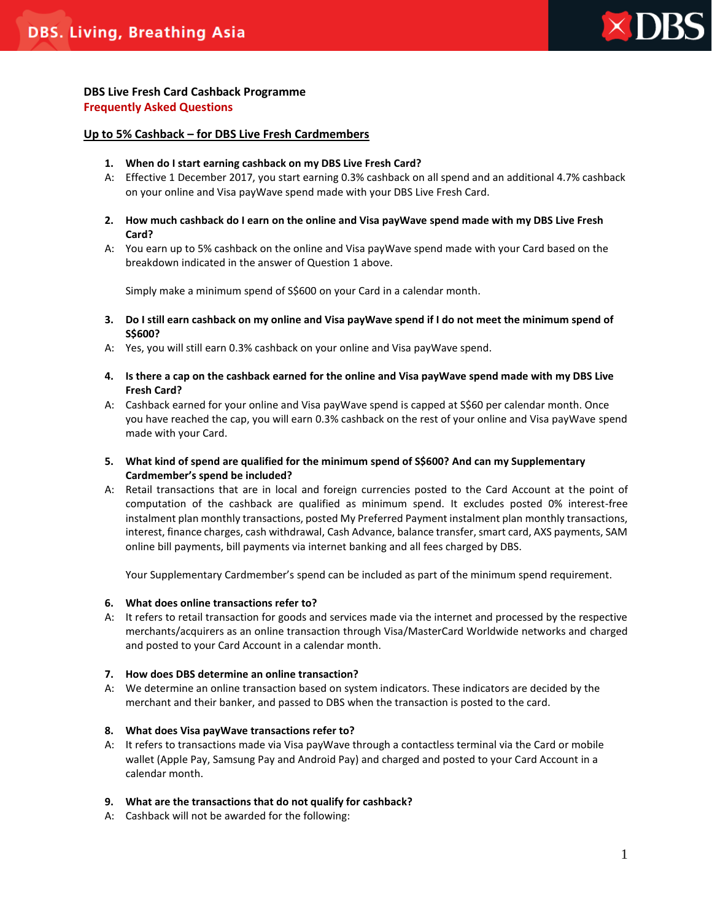

# **DBS Live Fresh Card Cashback Programme Frequently Asked Questions**

## **Up to 5% Cashback – for DBS Live Fresh Cardmembers**

- **1. When do I start earning cashback on my DBS Live Fresh Card?**
- A: Effective 1 December 2017, you start earning 0.3% cashback on all spend and an additional 4.7% cashback on your online and Visa payWave spend made with your DBS Live Fresh Card.
- **2. How much cashback do I earn on the online and Visa payWave spend made with my DBS Live Fresh Card?**
- A: You earn up to 5% cashback on the online and Visa payWave spend made with your Card based on the breakdown indicated in the answer of Question 1 above.

Simply make a minimum spend of S\$600 on your Card in a calendar month.

- **3. Do I still earn cashback on my online and Visa payWave spend if I do not meet the minimum spend of S\$600?**
- A: Yes, you will still earn 0.3% cashback on your online and Visa payWave spend.
- **4. Is there a cap on the cashback earned for the online and Visa payWave spend made with my DBS Live Fresh Card?**
- A: Cashback earned for your online and Visa payWave spend is capped at S\$60 per calendar month. Once you have reached the cap, you will earn 0.3% cashback on the rest of your online and Visa payWave spend made with your Card.
- **5. What kind of spend are qualified for the minimum spend of S\$600? And can my Supplementary Cardmember's spend be included?**
- A: Retail transactions that are in local and foreign currencies posted to the Card Account at the point of computation of the cashback are qualified as minimum spend. It excludes posted 0% interest-free instalment plan monthly transactions, posted My Preferred Payment instalment plan monthly transactions, interest, finance charges, cash withdrawal, Cash Advance, balance transfer, smart card, AXS payments, SAM online bill payments, bill payments via internet banking and all fees charged by DBS.

Your Supplementary Cardmember's spend can be included as part of the minimum spend requirement.

## **6. What does online transactions refer to?**

A: It refers to retail transaction for goods and services made via the internet and processed by the respective merchants/acquirers as an online transaction through Visa/MasterCard Worldwide networks and charged and posted to your Card Account in a calendar month.

## **7. How does DBS determine an online transaction?**

A: We determine an online transaction based on system indicators. These indicators are decided by the merchant and their banker, and passed to DBS when the transaction is posted to the card.

## **8. What does Visa payWave transactions refer to?**

A: It refers to transactions made via Visa payWave through a contactless terminal via the Card or mobile wallet (Apple Pay, Samsung Pay and Android Pay) and charged and posted to your Card Account in a calendar month.

## **9. What are the transactions that do not qualify for cashback?**

A: Cashback will not be awarded for the following: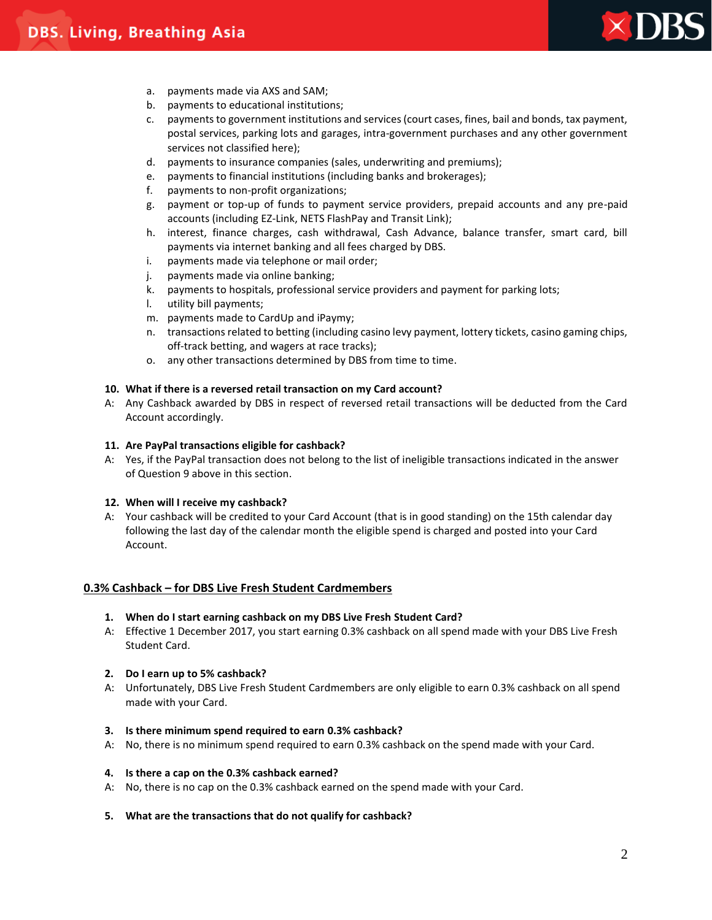

- a. payments made via AXS and SAM;
- b. payments to educational institutions;
- c. payments to government institutions and services (court cases, fines, bail and bonds, tax payment, postal services, parking lots and garages, intra-government purchases and any other government services not classified here);
- d. payments to insurance companies (sales, underwriting and premiums);
- e. payments to financial institutions (including banks and brokerages);
- f. payments to non-profit organizations;
- g. payment or top-up of funds to payment service providers, prepaid accounts and any pre-paid accounts (including EZ-Link, NETS FlashPay and Transit Link);
- h. interest, finance charges, cash withdrawal, Cash Advance, balance transfer, smart card, bill payments via internet banking and all fees charged by DBS.
- i. payments made via telephone or mail order;
- j. payments made via online banking;
- k. payments to hospitals, professional service providers and payment for parking lots;
- l. utility bill payments;
- m. payments made to CardUp and iPaymy;
- n. transactions related to betting (including casino levy payment, lottery tickets, casino gaming chips, off-track betting, and wagers at race tracks);
- o. any other transactions determined by DBS from time to time.

### **10. What if there is a reversed retail transaction on my Card account?**

A: Any Cashback awarded by DBS in respect of reversed retail transactions will be deducted from the Card Account accordingly.

### **11. Are PayPal transactions eligible for cashback?**

A: Yes, if the PayPal transaction does not belong to the list of ineligible transactions indicated in the answer of Question 9 above in this section.

### **12. When will I receive my cashback?**

A: Your cashback will be credited to your Card Account (that is in good standing) on the 15th calendar day following the last day of the calendar month the eligible spend is charged and posted into your Card Account.

## **0.3% Cashback – for DBS Live Fresh Student Cardmembers**

### **1. When do I start earning cashback on my DBS Live Fresh Student Card?**

A: Effective 1 December 2017, you start earning 0.3% cashback on all spend made with your DBS Live Fresh Student Card.

### **2. Do I earn up to 5% cashback?**

A: Unfortunately, DBS Live Fresh Student Cardmembers are only eligible to earn 0.3% cashback on all spend made with your Card.

### **3. Is there minimum spend required to earn 0.3% cashback?**

A: No, there is no minimum spend required to earn 0.3% cashback on the spend made with your Card.

### **4. Is there a cap on the 0.3% cashback earned?**

A: No, there is no cap on the 0.3% cashback earned on the spend made with your Card.

### **5. What are the transactions that do not qualify for cashback?**